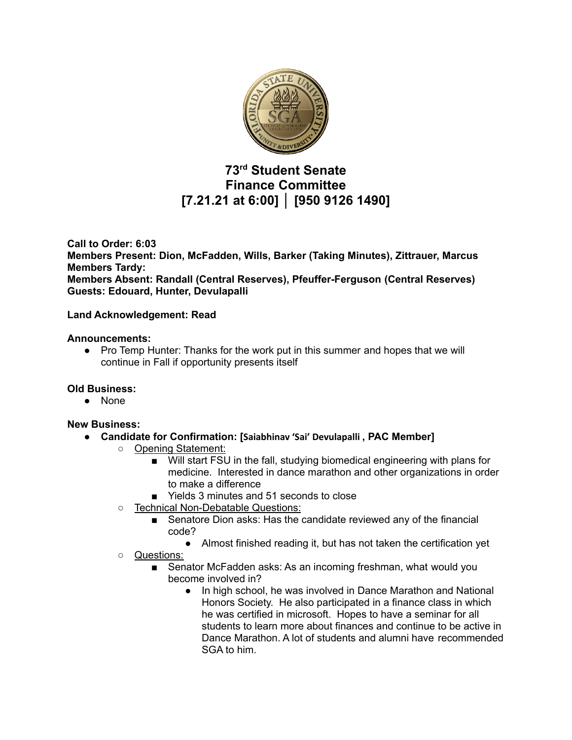

# **73 rd Student Senate Finance Committee [7.21.21 at 6:00] │ [950 9126 1490]**

**Call to Order: 6:03 Members Present: Dion, McFadden, Wills, Barker (Taking Minutes), Zittrauer, Marcus Members Tardy: Members Absent: Randall (Central Reserves), Pfeuffer-Ferguson (Central Reserves) Guests: Edouard, Hunter, Devulapalli**

### **Land Acknowledgement: Read**

#### **Announcements:**

● Pro Temp Hunter: Thanks for the work put in this summer and hopes that we will continue in Fall if opportunity presents itself

#### **Old Business:**

● None

#### **New Business:**

- **● Candidate for Confirmation: [Saiabhinav 'Sai' Devulapalli , PAC Member]**
	- Opening Statement:
		- Will start FSU in the fall, studying biomedical engineering with plans for medicine. Interested in dance marathon and other organizations in order to make a difference
		- Yields 3 minutes and 51 seconds to close
		- Technical Non-Debatable Questions:
			- Senatore Dion asks: Has the candidate reviewed any of the financial code?
				- Almost finished reading it, but has not taken the certification yet
		- Questions:
			- Senator McFadden asks: As an incoming freshman, what would you become involved in?
				- In high school, he was involved in Dance Marathon and National Honors Society. He also participated in a finance class in which he was certified in microsoft. Hopes to have a seminar for all students to learn more about finances and continue to be active in Dance Marathon. A lot of students and alumni have recommended SGA to him.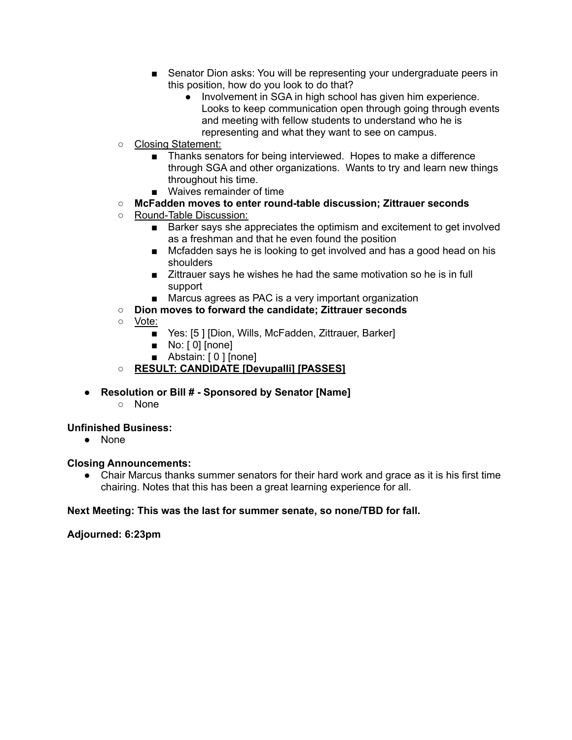- Senator Dion asks: You will be representing your undergraduate peers in this position, how do you look to do that?
	- Involvement in SGA in high school has given him experience. Looks to keep communication open through going through events and meeting with fellow students to understand who he is representing and what they want to see on campus.
- Closing Statement:
	- Thanks senators for being interviewed. Hopes to make a difference through SGA and other organizations. Wants to try and learn new things throughout his time.
	- Waives remainder of time
- **○ McFadden moves to enter round-table discussion; Zittrauer seconds**
- Round-Table Discussion:
	- Barker says she appreciates the optimism and excitement to get involved as a freshman and that he even found the position
	- Mcfadden says he is looking to get involved and has a good head on his shoulders
	- Zittrauer says he wishes he had the same motivation so he is in full support
	- Marcus agrees as PAC is a very important organization
- **○ Dion moves to forward the candidate; Zittrauer seconds**
- Vote:
	- Yes: [5] [Dion, Wills, McFadden, Zittrauer, Barker]
	- No: [0] [none]
	- Abstain: [ 0 ] [none]
- **○ RESULT: CANDIDATE [Devupalli] [PASSES]**
- **● Resolution or Bill # - Sponsored by Senator [Name]**
	- **○** None

## **Unfinished Business:**

● None

#### **Closing Announcements:**

● Chair Marcus thanks summer senators for their hard work and grace as it is his first time chairing. Notes that this has been a great learning experience for all.

## **Next Meeting: This was the last for summer senate, so none/TBD for fall.**

## **Adjourned: 6:23pm**